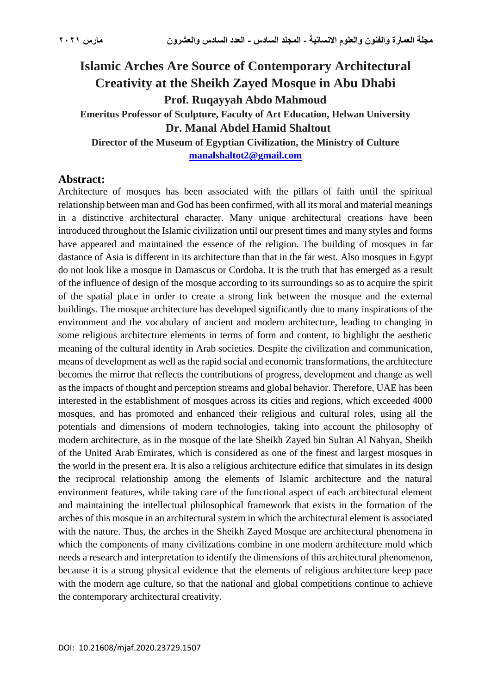# **Islamic Arches Are Source of Contemporary Architectural Creativity at the Sheikh Zayed Mosque in Abu Dhabi Prof. Ruqayyah Abdo Mahmoud Emeritus Professor of Sculpture, Faculty of Art Education, Helwan University Dr. Manal Abdel Hamid Shaltout Director of the Museum of Egyptian Civilization, the Ministry of Culture**

**[manalshaltot2@gmail.com](file:///C:/Users/Dr%20Ranya%20Allam/Desktop/manalshaltot2@gmail.com)**

## **Abstract:**

Architecture of mosques has been associated with the pillars of faith until the spiritual relationship between man and God has been confirmed, with all its moral and material meanings in a distinctive architectural character. Many unique architectural creations have been introduced throughout the Islamic civilization until our present times and many styles and forms have appeared and maintained the essence of the religion. The building of mosques in far dastance of Asia is different in its architecture than that in the far west. Also mosques in Egypt do not look like a mosque in Damascus or Cordoba. It is the truth that has emerged as a result of the influence of design of the mosque according to its surroundings so as to acquire the spirit of the spatial place in order to create a strong link between the mosque and the external buildings. The mosque architecture has developed significantly due to many inspirations of the environment and the vocabulary of ancient and modern architecture, leading to changing in some religious architecture elements in terms of form and content, to highlight the aesthetic meaning of the cultural identity in Arab societies. Despite the civilization and communication, means of development as well as the rapid social and economic transformations, the architecture becomes the mirror that reflects the contributions of progress, development and change as well as the impacts of thought and perception streams and global behavior. Therefore, UAE has been interested in the establishment of mosques across its cities and regions, which exceeded 4000 mosques, and has promoted and enhanced their religious and cultural roles, using all the potentials and dimensions of modern technologies, taking into account the philosophy of modern architecture, as in the mosque of the late Sheikh Zayed bin Sultan Al Nahyan, Sheikh of the United Arab Emirates, which is considered as one of the finest and largest mosques in the world in the present era. It is also a religious architecture edifice that simulates in its design the reciprocal relationship among the elements of Islamic architecture and the natural environment features, while taking care of the functional aspect of each architectural element and maintaining the intellectual philosophical framework that exists in the formation of the arches of this mosque in an architectural system in which the architectural element is associated with the nature. Thus, the arches in the Sheikh Zayed Mosque are architectural phenomena in which the components of many civilizations combine in one modern architecture mold which needs a research and interpretation to identify the dimensions of this architectural phenomenon, because it is a strong physical evidence that the elements of religious architecture keep pace with the modern age culture, so that the national and global competitions continue to achieve the contemporary architectural creativity.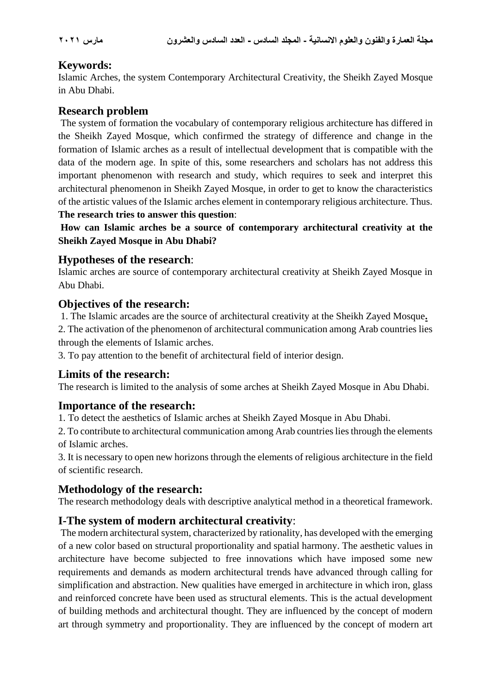## **Keywords:**

Islamic Arches, the system Contemporary Architectural Creativity, the Sheikh Zayed Mosque in Abu Dhabi.

## **Research problem**

The system of formation the vocabulary of contemporary religious architecture has differed in the Sheikh Zayed Mosque, which confirmed the strategy of difference and change in the formation of Islamic arches as a result of intellectual development that is compatible with the data of the modern age. In spite of this, some researchers and scholars has not address this important phenomenon with research and study, which requires to seek and interpret this architectural phenomenon in Sheikh Zayed Mosque, in order to get to know the characteristics of the artistic values of the Islamic arches element in contemporary religious architecture. Thus. **The research tries to answer this question**:

**How can Islamic arches be a source of contemporary architectural creativity at the Sheikh Zayed Mosque in Abu Dhabi?**

## **Hypotheses of the research**:

Islamic arches are source of contemporary architectural creativity at Sheikh Zayed Mosque in Abu Dhabi.

## **Objectives of the research:**

1. The Islamic arcades are the source of architectural creativity at the Sheikh Zayed Mosque**.**

2. The activation of the phenomenon of architectural communication among Arab countries lies through the elements of Islamic arches.

3. To pay attention to the benefit of architectural field of interior design.

## **Limits of the research:**

The research is limited to the analysis of some arches at Sheikh Zayed Mosque in Abu Dhabi.

## **Importance of the research:**

1. To detect the aesthetics of Islamic arches at Sheikh Zayed Mosque in Abu Dhabi.

2. To contribute to architectural communication among Arab countries lies through the elements of Islamic arches.

3. It is necessary to open new horizons through the elements of religious architecture in the field of scientific research.

## **Methodology of the research:**

The research methodology deals with descriptive analytical method in a theoretical framework.

## **I-The system of modern architectural creativity**:

The modern architectural system, characterized by rationality, has developed with the emerging of a new color based on structural proportionality and spatial harmony. The aesthetic values in architecture have become subjected to free innovations which have imposed some new requirements and demands as modern architectural trends have advanced through calling for simplification and abstraction. New qualities have emerged in architecture in which iron, glass and reinforced concrete have been used as structural elements. This is the actual development of building methods and architectural thought. They are influenced by the concept of modern art through symmetry and proportionality. They are influenced by the concept of modern art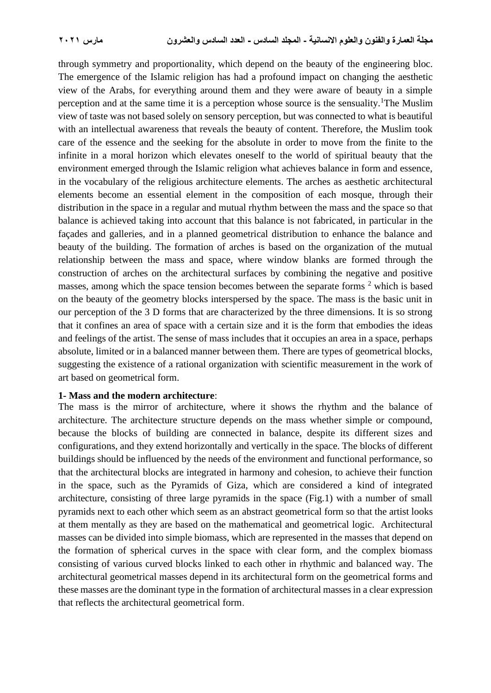through symmetry and proportionality, which depend on the beauty of the engineering bloc. The emergence of the Islamic religion has had a profound impact on changing the aesthetic view of the Arabs, for everything around them and they were aware of beauty in a simple perception and at the same time it is a perception whose source is the sensuality.<sup>1</sup>The Muslim view of taste was not based solely on sensory perception, but was connected to what is beautiful with an intellectual awareness that reveals the beauty of content. Therefore, the Muslim took care of the essence and the seeking for the absolute in order to move from the finite to the infinite in a moral horizon which elevates oneself to the world of spiritual beauty that the environment emerged through the Islamic religion what achieves balance in form and essence, in the vocabulary of the religious architecture elements. The arches as aesthetic architectural elements become an essential element in the composition of each mosque, through their distribution in the space in a regular and mutual rhythm between the mass and the space so that balance is achieved taking into account that this balance is not fabricated, in particular in the façades and galleries, and in a planned geometrical distribution to enhance the balance and beauty of the building. The formation of arches is based on the organization of the mutual relationship between the mass and space, where window blanks are formed through the construction of arches on the architectural surfaces by combining the negative and positive masses, among which the space tension becomes between the separate forms <sup>2</sup> which is based on the beauty of the geometry blocks interspersed by the space. The mass is the basic unit in our perception of the 3 D forms that are characterized by the three dimensions. It is so strong that it confines an area of space with a certain size and it is the form that embodies the ideas and feelings of the artist. The sense of mass includes that it occupies an area in a space, perhaps absolute, limited or in a balanced manner between them. There are types of geometrical blocks, suggesting the existence of a rational organization with scientific measurement in the work of art based on geometrical form.

#### **1- Mass and the modern architecture**:

The mass is the mirror of architecture, where it shows the rhythm and the balance of architecture. The architecture structure depends on the mass whether simple or compound, because the blocks of building are connected in balance, despite its different sizes and configurations, and they extend horizontally and vertically in the space. The blocks of different buildings should be influenced by the needs of the environment and functional performance, so that the architectural blocks are integrated in harmony and cohesion, to achieve their function in the space, such as the Pyramids of Giza, which are considered a kind of integrated architecture, consisting of three large pyramids in the space (Fig.1) with a number of small pyramids next to each other which seem as an abstract geometrical form so that the artist looks at them mentally as they are based on the mathematical and geometrical logic. Architectural masses can be divided into simple biomass, which are represented in the masses that depend on the formation of spherical curves in the space with clear form, and the complex biomass consisting of various curved blocks linked to each other in rhythmic and balanced way. The architectural geometrical masses depend in its architectural form on the geometrical forms and these masses are the dominant type in the formation of architectural masses in a clear expression that reflects the architectural geometrical form.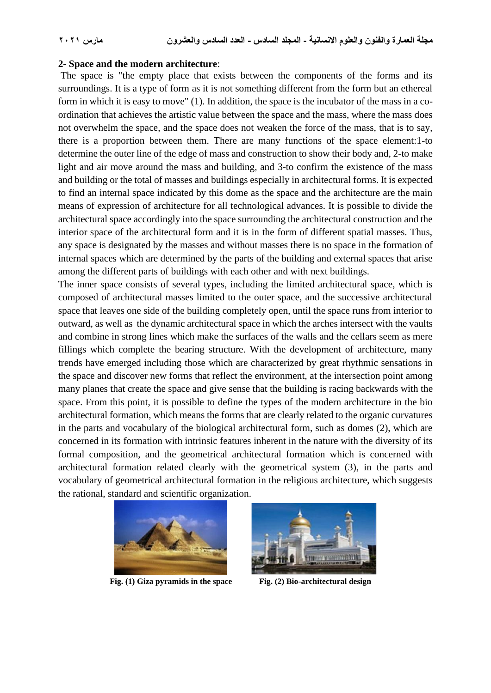#### **2- Space and the modern architecture**:

The space is "the empty place that exists between the components of the forms and its surroundings. It is a type of form as it is not something different from the form but an ethereal form in which it is easy to move" (1). In addition, the space is the incubator of the mass in a coordination that achieves the artistic value between the space and the mass, where the mass does not overwhelm the space, and the space does not weaken the force of the mass, that is to say, there is a proportion between them. There are many functions of the space element:1-to determine the outer line of the edge of mass and construction to show their body and, 2-to make light and air move around the mass and building, and 3-to confirm the existence of the mass and building or the total of masses and buildings especially in architectural forms. It is expected to find an internal space indicated by this dome as the space and the architecture are the main means of expression of architecture for all technological advances. It is possible to divide the architectural space accordingly into the space surrounding the architectural construction and the interior space of the architectural form and it is in the form of different spatial masses. Thus, any space is designated by the masses and without masses there is no space in the formation of internal spaces which are determined by the parts of the building and external spaces that arise among the different parts of buildings with each other and with next buildings.

The inner space consists of several types, including the limited architectural space, which is composed of architectural masses limited to the outer space, and the successive architectural space that leaves one side of the building completely open, until the space runs from interior to outward, as well as the dynamic architectural space in which the arches intersect with the vaults and combine in strong lines which make the surfaces of the walls and the cellars seem as mere fillings which complete the bearing structure. With the development of architecture, many trends have emerged including those which are characterized by great rhythmic sensations in the space and discover new forms that reflect the environment, at the intersection point among many planes that create the space and give sense that the building is racing backwards with the space. From this point, it is possible to define the types of the modern architecture in the bio architectural formation, which means the forms that are clearly related to the organic curvatures in the parts and vocabulary of the biological architectural form, such as domes (2), which are concerned in its formation with intrinsic features inherent in the nature with the diversity of its formal composition, and the geometrical architectural formation which is concerned with architectural formation related clearly with the geometrical system (3), in the parts and vocabulary of geometrical architectural formation in the religious architecture, which suggests the rational, standard and scientific organization.



 **Fig. (1) Giza pyramids in the space Fig. (2) Bio-architectural design**

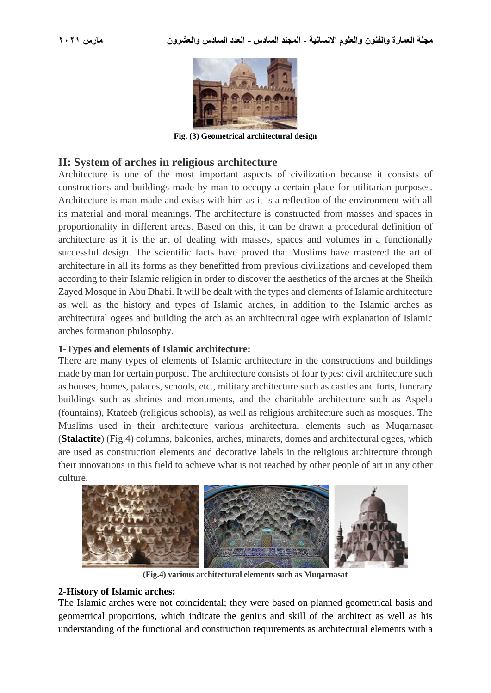

**Fig. (3) Geometrical architectural design**

## **II: System of arches in religious architecture**

Architecture is one of the most important aspects of civilization because it consists of constructions and buildings made by man to occupy a certain place for utilitarian purposes. Architecture is man-made and exists with him as it is a reflection of the environment with all its material and moral meanings. The architecture is constructed from masses and spaces in proportionality in different areas. Based on this, it can be drawn a procedural definition of architecture as it is the art of dealing with masses, spaces and volumes in a functionally successful design. The scientific facts have proved that Muslims have mastered the art of architecture in all its forms as they benefitted from previous civilizations and developed them according to their Islamic religion in order to discover the aesthetics of the arches at the Sheikh Zayed Mosque in Abu Dhabi. It will be dealt with the types and elements of Islamic architecture as well as the history and types of Islamic arches, in addition to the Islamic arches as architectural ogees and building the arch as an architectural ogee with explanation of Islamic arches formation philosophy.

### **1-Types and elements of Islamic architecture:**

There are many types of elements of Islamic architecture in the constructions and buildings made by man for certain purpose. The architecture consists of four types: civil architecture such as houses, homes, palaces, schools, etc., military architecture such as castles and forts, funerary buildings such as shrines and monuments, and the charitable architecture such as Aspela (fountains), Ktateeb (religious schools), as well as religious architecture such as mosques. The Muslims used in their architecture various architectural elements such as Muqarnasat (**Stalactite**) (Fig.4) columns, balconies, arches, minarets, domes and architectural ogees, which are used as construction elements and decorative labels in the religious architecture through their innovations in this field to achieve what is not reached by other people of art in any other culture.



**(Fig.4) various architectural elements such as Muqarnasat**

#### **2-History of Islamic arches:**

The Islamic arches were not coincidental; they were based on planned geometrical basis and geometrical proportions, which indicate the genius and skill of the architect as well as his understanding of the functional and construction requirements as architectural elements with a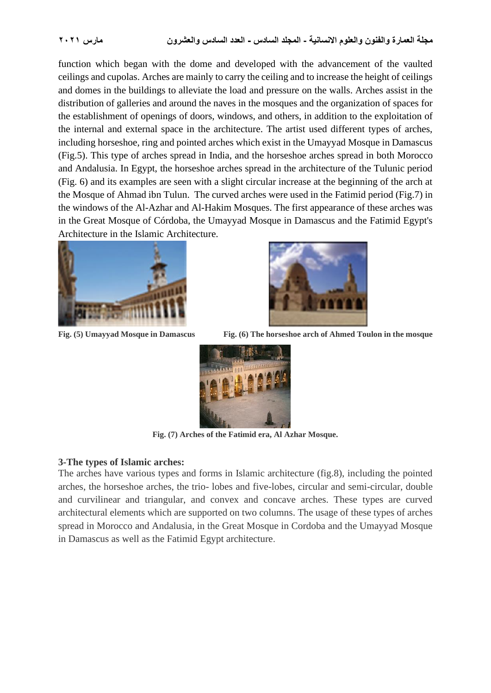function which began with the dome and developed with the advancement of the vaulted ceilings and cupolas. Arches are mainly to carry the ceiling and to increase the height of ceilings and domes in the buildings to alleviate the load and pressure on the walls. Arches assist in the distribution of galleries and around the naves in the mosques and the organization of spaces for the establishment of openings of doors, windows, and others, in addition to the exploitation of the internal and external space in the architecture. The artist used different types of arches, including horseshoe, ring and pointed arches which exist in the Umayyad Mosque in Damascus (Fig.5). This type of arches spread in India, and the horseshoe arches spread in both Morocco and Andalusia. In Egypt, the horseshoe arches spread in the architecture of the Tulunic period (Fig. 6) and its examples are seen with a slight circular increase at the beginning of the arch at the Mosque of Ahmad ibn Tulun. The curved arches were used in the Fatimid period (Fig.7) in the windows of the Al-Azhar and Al-Hakim Mosques. The first appearance of these arches was in the Great Mosque of Córdoba, the Umayyad Mosque in Damascus and the Fatimid Egypt's Architecture in the Islamic Architecture.





**Fig. (5) Umayyad Mosque in Damascus Fig. (6) The horseshoe arch of Ahmed Toulon in the mosque** 



**Fig. (7) Arches of the Fatimid era, Al Azhar Mosque.**

### **3-The types of Islamic arches:**

The arches have various types and forms in Islamic architecture (fig.8), including the pointed arches, the horseshoe arches, the trio- lobes and five-lobes, circular and semi-circular, double and curvilinear and triangular, and convex and concave arches. These types are curved architectural elements which are supported on two columns. The usage of these types of arches spread in Morocco and Andalusia, in the Great Mosque in Cordoba and the Umayyad Mosque in Damascus as well as the Fatimid Egypt architecture .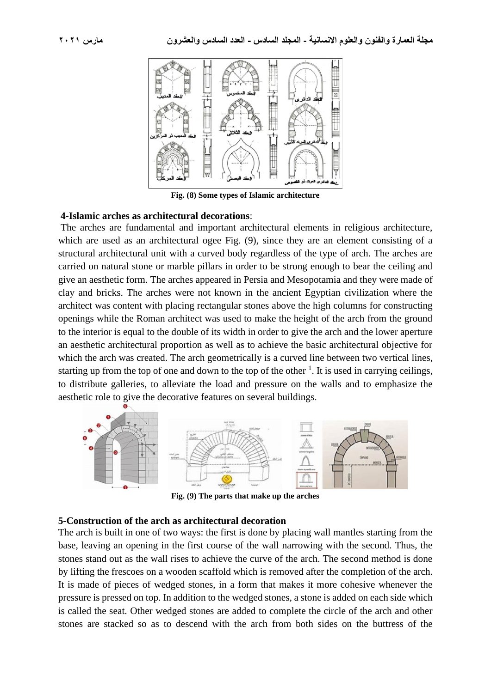

**Fig. (8) Some types of Islamic architecture**

#### **4-Islamic arches as architectural decorations**:

The arches are fundamental and important architectural elements in religious architecture, which are used as an architectural ogee Fig. (9), since they are an element consisting of a structural architectural unit with a curved body regardless of the type of arch. The arches are carried on natural stone or marble pillars in order to be strong enough to bear the ceiling and give an aesthetic form. The arches appeared in Persia and Mesopotamia and they were made of clay and bricks. The arches were not known in the ancient Egyptian civilization where the architect was content with placing rectangular stones above the high columns for constructing openings while the Roman architect was used to make the height of the arch from the ground to the interior is equal to the double of its width in order to give the arch and the lower aperture an aesthetic architectural proportion as well as to achieve the basic architectural objective for which the arch was created. The arch geometrically is a curved line between two vertical lines, starting up from the top of one and down to the top of the other  $\frac{1}{1}$ . It is used in carrying ceilings, to distribute galleries, to alleviate the load and pressure on the walls and to emphasize the aesthetic role to give the decorative features on several buildings.



**Fig. (9) The parts that make up the arches**

#### **5-Construction of the arch as architectural decoration**

The arch is built in one of two ways: the first is done by placing wall mantles starting from the base, leaving an opening in the first course of the wall narrowing with the second. Thus, the stones stand out as the wall rises to achieve the curve of the arch. The second method is done by lifting the frescoes on a wooden scaffold which is removed after the completion of the arch. It is made of pieces of wedged stones, in a form that makes it more cohesive whenever the pressure is pressed on top. In addition to the wedged stones, a stone is added on each side which is called the seat. Other wedged stones are added to complete the circle of the arch and other stones are stacked so as to descend with the arch from both sides on the buttress of the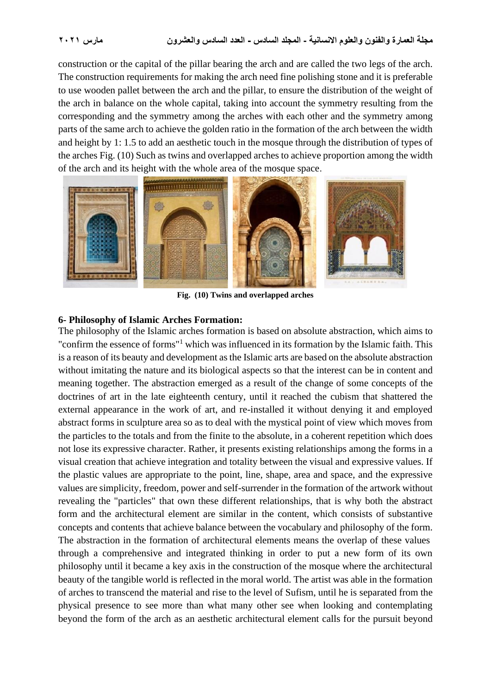construction or the capital of the pillar bearing the arch and are called the two legs of the arch. The construction requirements for making the arch need fine polishing stone and it is preferable to use wooden pallet between the arch and the pillar, to ensure the distribution of the weight of the arch in balance on the whole capital, taking into account the symmetry resulting from the corresponding and the symmetry among the arches with each other and the symmetry among parts of the same arch to achieve the golden ratio in the formation of the arch between the width and height by 1: 1.5 to add an aesthetic touch in the mosque through the distribution of types of the arches Fig. (10) Such as twins and overlapped arches to achieve proportion among the width of the arch and its height with the whole area of the mosque space .



**Fig. (10) Twins and overlapped arches**

#### **6- Philosophy of Islamic Arches Formation:**

The philosophy of the Islamic arches formation is based on absolute abstraction, which aims to "confirm the essence of forms"<sup>1</sup> which was influenced in its formation by the Islamic faith. This is a reason of its beauty and development as the Islamic arts are based on the absolute abstraction without imitating the nature and its biological aspects so that the interest can be in content and meaning together. The abstraction emerged as a result of the change of some concepts of the doctrines of art in the late eighteenth century, until it reached the cubism that shattered the external appearance in the work of art, and re-installed it without denying it and employed abstract forms in sculpture area so as to deal with the mystical point of view which moves from the particles to the totals and from the finite to the absolute, in a coherent repetition which does not lose its expressive character. Rather, it presents existing relationships among the forms in a visual creation that achieve integration and totality between the visual and expressive values. If the plastic values are appropriate to the point, line, shape, area and space, and the expressive values are simplicity, freedom, power and self-surrender in the formation of the artwork without revealing the "particles" that own these different relationships, that is why both the abstract form and the architectural element are similar in the content, which consists of substantive concepts and contents that achieve balance between the vocabulary and philosophy of the form. The abstraction in the formation of architectural elements means the overlap of these values through a comprehensive and integrated thinking in order to put a new form of its own philosophy until it became a key axis in the construction of the mosque where the architectural beauty of the tangible world is reflected in the moral world. The artist was able in the formation of arches to transcend the material and rise to the level of Sufism, until he is separated from the physical presence to see more than what many other see when looking and contemplating beyond the form of the arch as an aesthetic architectural element calls for the pursuit beyond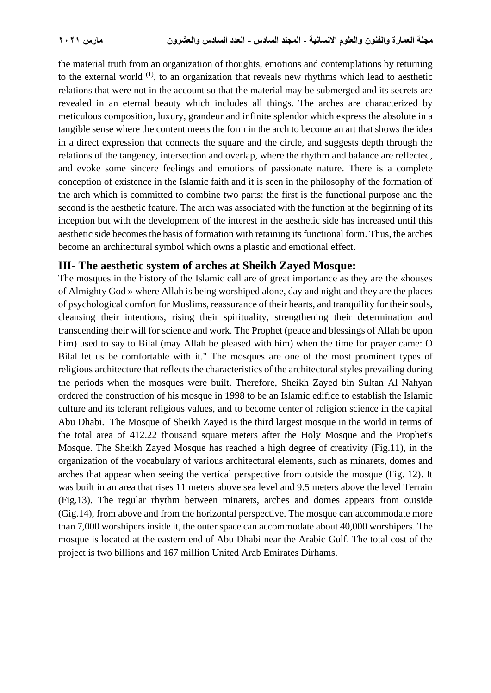the material truth from an organization of thoughts, emotions and contemplations by returning to the external world  $(1)$ , to an organization that reveals new rhythms which lead to aesthetic relations that were not in the account so that the material may be submerged and its secrets are revealed in an eternal beauty which includes all things. The arches are characterized by meticulous composition, luxury, grandeur and infinite splendor which express the absolute in a tangible sense where the content meets the form in the arch to become an art that shows the idea in a direct expression that connects the square and the circle, and suggests depth through the relations of the tangency, intersection and overlap, where the rhythm and balance are reflected, and evoke some sincere feelings and emotions of passionate nature. There is a complete conception of existence in the Islamic faith and it is seen in the philosophy of the formation of the arch which is committed to combine two parts: the first is the functional purpose and the second is the aesthetic feature. The arch was associated with the function at the beginning of its inception but with the development of the interest in the aesthetic side has increased until this aesthetic side becomes the basis of formation with retaining its functional form. Thus, the arches become an architectural symbol which owns a plastic and emotional effect .

### **III- The aesthetic system of arches at Sheikh Zayed Mosque:**

The mosques in the history of the Islamic call are of great importance as they are the «houses of Almighty God » where Allah is being worshiped alone, day and night and they are the places of psychological comfort for Muslims, reassurance of their hearts, and tranquility for their souls, cleansing their intentions, rising their spirituality, strengthening their determination and transcending their will for science and work. The Prophet (peace and blessings of Allah be upon him) used to say to Bilal (may Allah be pleased with him) when the time for prayer came: O Bilal let us be comfortable with it." The mosques are one of the most prominent types of religious architecture that reflects the characteristics of the architectural styles prevailing during the periods when the mosques were built. Therefore, Sheikh Zayed bin Sultan Al Nahyan ordered the construction of his mosque in 1998 to be an Islamic edifice to establish the Islamic culture and its tolerant religious values, and to become center of religion science in the capital Abu Dhabi. The Mosque of Sheikh Zayed is the third largest mosque in the world in terms of the total area of 412.22 thousand square meters after the Holy Mosque and the Prophet's Mosque. The Sheikh Zayed Mosque has reached a high degree of creativity (Fig.11), in the organization of the vocabulary of various architectural elements, such as minarets, domes and arches that appear when seeing the vertical perspective from outside the mosque (Fig. 12). It was built in an area that rises 11 meters above sea level and 9.5 meters above the level Terrain (Fig.13). The regular rhythm between minarets, arches and domes appears from outside (Gig.14), from above and from the horizontal perspective. The mosque can accommodate more than 7,000 worshipers inside it, the outer space can accommodate about 40,000 worshipers. The mosque is located at the eastern end of Abu Dhabi near the Arabic Gulf. The total cost of the project is two billions and 167 million United Arab Emirates Dirhams.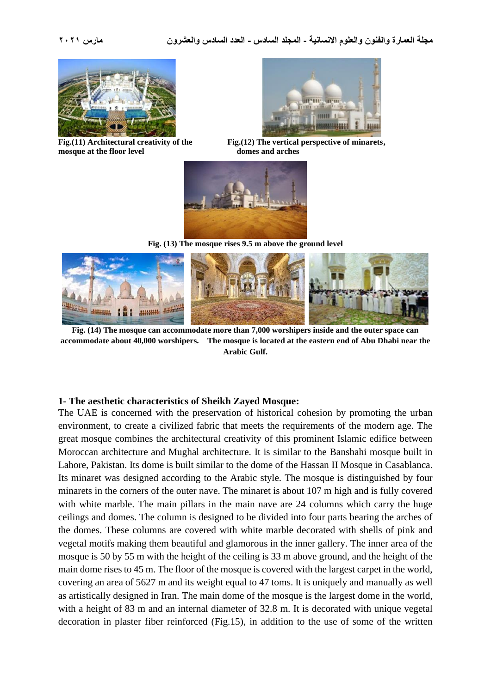

**mosque at the floor level domes and arches** 



Fig.(11) Architectural creativity of the Fig.(12) The vertical perspective of minarets,



**Fig. (13) The mosque rises 9.5 m above the ground level**



**Fig. (14) The mosque can accommodate more than 7,000 worshipers inside and the outer space can accommodate about 40,000 worshipers. The mosque is located at the eastern end of Abu Dhabi near the Arabic Gulf.**

### **1- The aesthetic characteristics of Sheikh Zayed Mosque:**

The UAE is concerned with the preservation of historical cohesion by promoting the urban environment, to create a civilized fabric that meets the requirements of the modern age. The great mosque combines the architectural creativity of this prominent Islamic edifice between Moroccan architecture and Mughal architecture. It is similar to the Banshahi mosque built in Lahore, Pakistan. Its dome is built similar to the dome of the Hassan II Mosque in Casablanca. Its minaret was designed according to the Arabic style. The mosque is distinguished by four minarets in the corners of the outer nave. The minaret is about 107 m high and is fully covered with white marble. The main pillars in the main nave are 24 columns which carry the huge ceilings and domes. The column is designed to be divided into four parts bearing the arches of the domes. These columns are covered with white marble decorated with shells of pink and vegetal motifs making them beautiful and glamorous in the inner gallery. The inner area of the mosque is 50 by 55 m with the height of the ceiling is 33 m above ground, and the height of the main dome rises to 45 m. The floor of the mosque is covered with the largest carpet in the world, covering an area of 5627 m and its weight equal to 47 toms. It is uniquely and manually as well as artistically designed in Iran. The main dome of the mosque is the largest dome in the world, with a height of 83 m and an internal diameter of 32.8 m. It is decorated with unique vegetal decoration in plaster fiber reinforced (Fig.15), in addition to the use of some of the written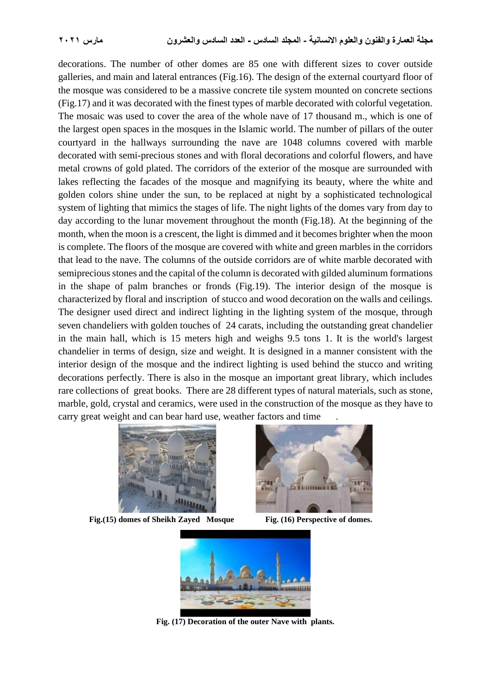decorations. The number of other domes are 85 one with different sizes to cover outside galleries, and main and lateral entrances (Fig.16). The design of the external courtyard floor of the mosque was considered to be a massive concrete tile system mounted on concrete sections (Fig.17) and it was decorated with the finest types of marble decorated with colorful vegetation. The mosaic was used to cover the area of the whole nave of 17 thousand m., which is one of the largest open spaces in the mosques in the Islamic world. The number of pillars of the outer courtyard in the hallways surrounding the nave are 1048 columns covered with marble decorated with semi-precious stones and with floral decorations and colorful flowers, and have metal crowns of gold plated. The corridors of the exterior of the mosque are surrounded with lakes reflecting the facades of the mosque and magnifying its beauty, where the white and golden colors shine under the sun, to be replaced at night by a sophisticated technological system of lighting that mimics the stages of life. The night lights of the domes vary from day to day according to the lunar movement throughout the month (Fig.18). At the beginning of the month, when the moon is a crescent, the light is dimmed and it becomes brighter when the moon is complete. The floors of the mosque are covered with white and green marbles in the corridors that lead to the nave. The columns of the outside corridors are of white marble decorated with semiprecious stones and the capital of the column is decorated with gilded aluminum formations in the shape of palm branches or fronds (Fig.19). The interior design of the mosque is characterized by floral and inscription of stucco and wood decoration on the walls and ceilings. The designer used direct and indirect lighting in the lighting system of the mosque, through seven chandeliers with golden touches of 24 carats, including the outstanding great chandelier in the main hall, which is 15 meters high and weighs 9.5 tons 1. It is the world's largest chandelier in terms of design, size and weight. It is designed in a manner consistent with the interior design of the mosque and the indirect lighting is used behind the stucco and writing decorations perfectly. There is also in the mosque an important great library, which includes rare collections of great books. There are 28 different types of natural materials, such as stone, marble, gold, crystal and ceramics, were used in the construction of the mosque as they have to carry great weight and can bear hard use, weather factors and time



 **Fig.(15) domes of Sheikh Zayed Mosque Fig. (16) Perspective of domes.**





**Fig. (17) Decoration of the outer Nave with plants.**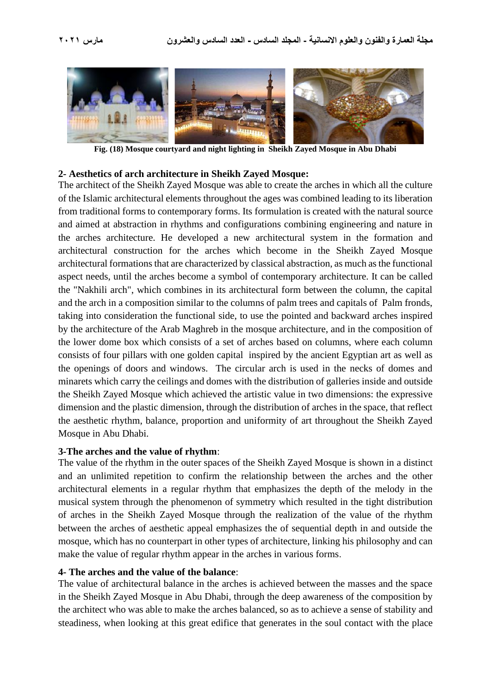

**Fig. (18) Mosque courtyard and night lighting in Sheikh Zayed Mosque in Abu Dhabi**

#### **2- Aesthetics of arch architecture in Sheikh Zayed Mosque:**

The architect of the Sheikh Zayed Mosque was able to create the arches in which all the culture of the Islamic architectural elements throughout the ages was combined leading to its liberation from traditional forms to contemporary forms. Its formulation is created with the natural source and aimed at abstraction in rhythms and configurations combining engineering and nature in the arches architecture. He developed a new architectural system in the formation and architectural construction for the arches which become in the Sheikh Zayed Mosque architectural formations that are characterized by classical abstraction, as much as the functional aspect needs, until the arches become a symbol of contemporary architecture. It can be called the "Nakhili arch", which combines in its architectural form between the column, the capital and the arch in a composition similar to the columns of palm trees and capitals of Palm fronds, taking into consideration the functional side, to use the pointed and backward arches inspired by the architecture of the Arab Maghreb in the mosque architecture, and in the composition of the lower dome box which consists of a set of arches based on columns, where each column consists of four pillars with one golden capital inspired by the ancient Egyptian art as well as the openings of doors and windows. The circular arch is used in the necks of domes and minarets which carry the ceilings and domes with the distribution of galleries inside and outside the Sheikh Zayed Mosque which achieved the artistic value in two dimensions: the expressive dimension and the plastic dimension, through the distribution of arches in the space, that reflect the aesthetic rhythm, balance, proportion and uniformity of art throughout the Sheikh Zayed Mosque in Abu Dhabi.

#### **3-The arches and the value of rhythm**:

The value of the rhythm in the outer spaces of the Sheikh Zayed Mosque is shown in a distinct and an unlimited repetition to confirm the relationship between the arches and the other architectural elements in a regular rhythm that emphasizes the depth of the melody in the musical system through the phenomenon of symmetry which resulted in the tight distribution of arches in the Sheikh Zayed Mosque through the realization of the value of the rhythm between the arches of aesthetic appeal emphasizes the of sequential depth in and outside the mosque, which has no counterpart in other types of architecture, linking his philosophy and can make the value of regular rhythm appear in the arches in various forms.

#### **4- The arches and the value of the balance**:

The value of architectural balance in the arches is achieved between the masses and the space in the Sheikh Zayed Mosque in Abu Dhabi, through the deep awareness of the composition by the architect who was able to make the arches balanced, so as to achieve a sense of stability and steadiness, when looking at this great edifice that generates in the soul contact with the place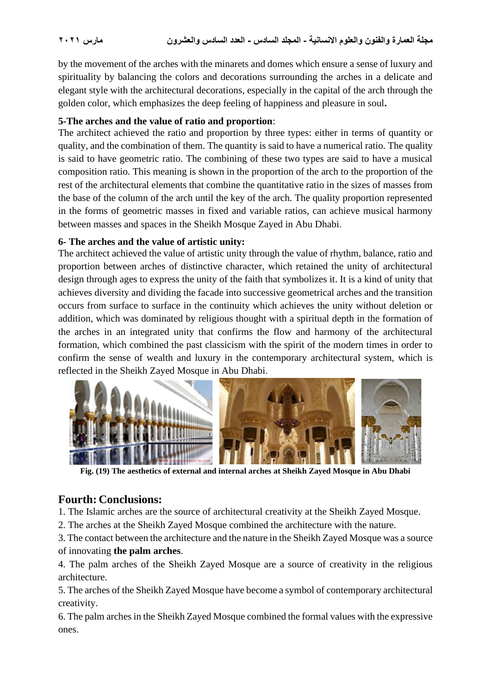by the movement of the arches with the minarets and domes which ensure a sense of luxury and spirituality by balancing the colors and decorations surrounding the arches in a delicate and elegant style with the architectural decorations, especially in the capital of the arch through the golden color, which emphasizes the deep feeling of happiness and pleasure in soul**.**

### **5-The arches and the value of ratio and proportion**:

The architect achieved the ratio and proportion by three types: either in terms of quantity or quality, and the combination of them. The quantity is said to have a numerical ratio. The quality is said to have geometric ratio. The combining of these two types are said to have a musical composition ratio. This meaning is shown in the proportion of the arch to the proportion of the rest of the architectural elements that combine the quantitative ratio in the sizes of masses from the base of the column of the arch until the key of the arch. The quality proportion represented in the forms of geometric masses in fixed and variable ratios, can achieve musical harmony between masses and spaces in the Sheikh Mosque Zayed in Abu Dhabi.

### **6- The arches and the value of artistic unity:**

The architect achieved the value of artistic unity through the value of rhythm, balance, ratio and proportion between arches of distinctive character, which retained the unity of architectural design through ages to express the unity of the faith that symbolizes it. It is a kind of unity that achieves diversity and dividing the facade into successive geometrical arches and the transition occurs from surface to surface in the continuity which achieves the unity without deletion or addition, which was dominated by religious thought with a spiritual depth in the formation of the arches in an integrated unity that confirms the flow and harmony of the architectural formation, which combined the past classicism with the spirit of the modern times in order to confirm the sense of wealth and luxury in the contemporary architectural system, which is reflected in the Sheikh Zayed Mosque in Abu Dhabi.



**Fig. (19) The aesthetics of external and internal arches at Sheikh Zayed Mosque in Abu Dhabi**

## **Fourth: Conclusions:**

1. The Islamic arches are the source of architectural creativity at the Sheikh Zayed Mosque.

2. The arches at the Sheikh Zayed Mosque combined the architecture with the nature.

3. The contact between the architecture and the nature in the Sheikh Zayed Mosque was a source of innovating **the palm arches**.

4. The palm arches of the Sheikh Zayed Mosque are a source of creativity in the religious architecture.

5. The arches of the Sheikh Zayed Mosque have become a symbol of contemporary architectural creativity.

6. The palm arches in the Sheikh Zayed Mosque combined the formal values with the expressive ones.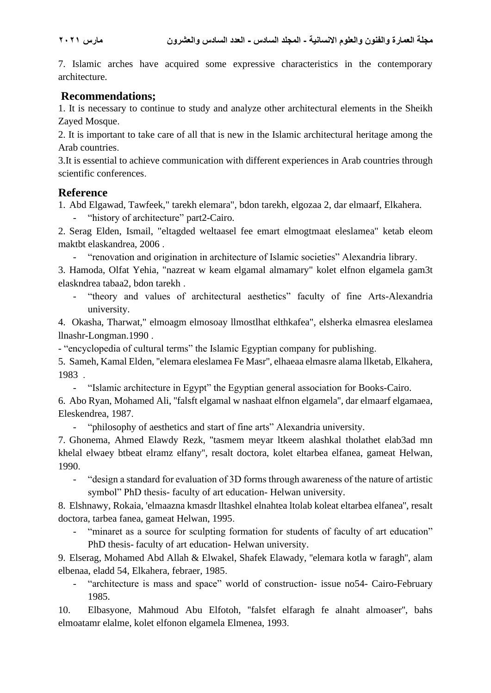7. Islamic arches have acquired some expressive characteristics in the contemporary architecture.

## **Recommendations;**

1. It is necessary to continue to study and analyze other architectural elements in the Sheikh Zayed Mosque.

2. It is important to take care of all that is new in the Islamic architectural heritage among the Arab countries .

3.It is essential to achieve communication with different experiences in Arab countries through scientific conferences .

## **Reference**

1. Abd Elgawad, Tawfeek," tarekh elemara", bdon tarekh, elgozaa 2, dar elmaarf, Elkahera.

- "history of architecture" part2-Cairo.

2. Serag Elden, Ismail, "eltagded weltaasel fee emart elmogtmaat eleslamea" ketab eleom maktbt elaskandrea, 2006 .

- "renovation and origination in architecture of Islamic societies" Alexandria library.

3. Hamoda, Olfat Yehia, "nazreat w keam elgamal almamary" kolet elfnon elgamela gam3t elaskndrea tabaa2, bdon tarekh .

- "theory and values of architectural aesthetics" faculty of fine Arts-Alexandria university.

4. Okasha, Tharwat," elmoagm elmosoay llmostlhat elthkafea", elsherka elmasrea eleslamea llnashr-Longman.1990 .

- "encyclopedia of cultural terms" the Islamic Egyptian company for publishing.

5. Sameh, Kamal Elden, ''elemara eleslamea Fe Masr'', elhaeaa elmasre alama llketab, Elkahera, 1983 .

- "Islamic architecture in Egypt" the Egyptian general association for Books-Cairo.

6. Abo Ryan, Mohamed Ali, ''falsft elgamal w nashaat elfnon elgamela'', dar elmaarf elgamaea, Eleskendrea, 1987 .

- "philosophy of aesthetics and start of fine arts" Alexandria university.

7. Ghonema, Ahmed Elawdy Rezk, ''tasmem meyar ltkeem alashkal tholathet elab3ad mn khelal elwaey btbeat elramz elfany'', resalt doctora, kolet eltarbea elfanea, gameat Helwan, 1990.

"design a standard for evaluation of 3D forms through awareness of the nature of artistic symbol" PhD thesis- faculty of art education- Helwan university.

8. Elshnawy, Rokaia, 'elmaazna kmasdr lltashkel elnahtea ltolab koleat eltarbea elfanea'', resalt doctora, tarbea fanea, gameat Helwan, 1995 .

- "minaret as a source for sculpting formation for students of faculty of art education" PhD thesis- faculty of art education- Helwan university.

9. Elserag, Mohamed Abd Allah & Elwakel, Shafek Elawady, ''elemara kotla w faragh'', alam elbenaa, eladd 54, Elkahera, febraer, 1985 .

- "architecture is mass and space" world of construction- issue no54- Cairo-February 1985.

10. Elbasyone, Mahmoud Abu Elfotoh, ''falsfet elfaragh fe alnaht almoaser'', bahs elmoatamr elalme, kolet elfonon elgamela Elmenea, 1993.